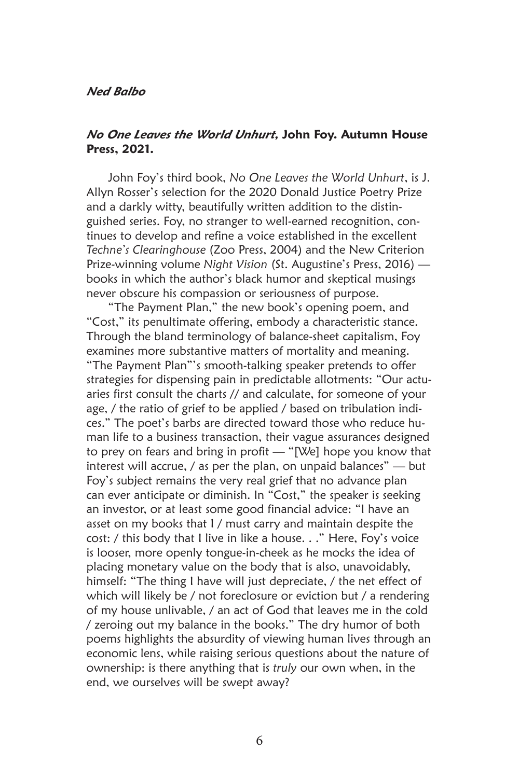## *Ned Balbo*

## *No One Leaves the World Unhurt,* **John Foy. Autumn House Press, 2021.**

John Foy's third book, *No One Leaves the World Unhurt*, is J. Allyn Rosser's selection for the 2020 Donald Justice Poetry Prize and a darkly witty, beautifully written addition to the distinguished series. Foy, no stranger to well-earned recognition, continues to develop and refine a voice established in the excellent *Techne's Clearinghouse* (Zoo Press, 2004) and the New Criterion Prize-winning volume *Night Vision* (St. Augustine's Press, 2016) books in which the author's black humor and skeptical musings never obscure his compassion or seriousness of purpose.

"The Payment Plan," the new book's opening poem, and "Cost," its penultimate offering, embody a characteristic stance. Through the bland terminology of balance-sheet capitalism, Foy examines more substantive matters of mortality and meaning. "The Payment Plan"'s smooth-talking speaker pretends to offer strategies for dispensing pain in predictable allotments: "Our actuaries first consult the charts // and calculate, for someone of your age, / the ratio of grief to be applied / based on tribulation indices." The poet's barbs are directed toward those who reduce human life to a business transaction, their vague assurances designed to prey on fears and bring in profit — "[We] hope you know that interest will accrue, / as per the plan, on unpaid balances" — but Foy's subject remains the very real grief that no advance plan can ever anticipate or diminish. In "Cost," the speaker is seeking an investor, or at least some good financial advice: "I have an asset on my books that I / must carry and maintain despite the cost: / this body that I live in like a house. . ." Here, Foy's voice is looser, more openly tongue-in-cheek as he mocks the idea of placing monetary value on the body that is also, unavoidably, himself: "The thing I have will just depreciate, / the net effect of which will likely be / not foreclosure or eviction but / a rendering of my house unlivable, / an act of God that leaves me in the cold / zeroing out my balance in the books." The dry humor of both poems highlights the absurdity of viewing human lives through an economic lens, while raising serious questions about the nature of ownership: is there anything that is *truly* our own when, in the end, we ourselves will be swept away?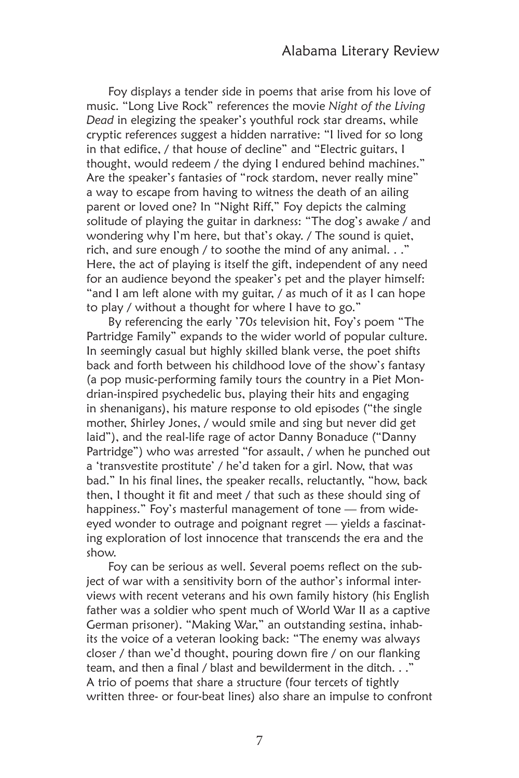Foy displays a tender side in poems that arise from his love of music. "Long Live Rock" references the movie *Night of the Living Dead* in elegizing the speaker's youthful rock star dreams, while cryptic references suggest a hidden narrative: "I lived for so long in that edifice, / that house of decline" and "Electric guitars, I thought, would redeem / the dying I endured behind machines." Are the speaker's fantasies of "rock stardom, never really mine" a way to escape from having to witness the death of an ailing parent or loved one? In "Night Riff," Foy depicts the calming solitude of playing the guitar in darkness: "The dog's awake / and wondering why I'm here, but that's okay. / The sound is quiet, rich, and sure enough / to soothe the mind of any animal. . ." Here, the act of playing is itself the gift, independent of any need for an audience beyond the speaker's pet and the player himself: "and I am left alone with my guitar, / as much of it as I can hope to play / without a thought for where I have to go."

By referencing the early '70s television hit, Foy's poem "The Partridge Family" expands to the wider world of popular culture. In seemingly casual but highly skilled blank verse, the poet shifts back and forth between his childhood love of the show's fantasy (a pop music-performing family tours the country in a Piet Mondrian-inspired psychedelic bus, playing their hits and engaging in shenanigans), his mature response to old episodes ("the single mother, Shirley Jones, / would smile and sing but never did get laid"), and the real-life rage of actor Danny Bonaduce ("Danny Partridge") who was arrested "for assault, / when he punched out a 'transvestite prostitute' / he'd taken for a girl. Now, that was bad." In his final lines, the speaker recalls, reluctantly, "how, back then, I thought it fit and meet / that such as these should sing of happiness." Foy's masterful management of tone — from wideeyed wonder to outrage and poignant regret — yields a fascinating exploration of lost innocence that transcends the era and the show.

Foy can be serious as well. Several poems reflect on the subject of war with a sensitivity born of the author's informal interviews with recent veterans and his own family history (his English father was a soldier who spent much of World War II as a captive German prisoner). "Making War," an outstanding sestina, inhabits the voice of a veteran looking back: "The enemy was always closer / than we'd thought, pouring down fire / on our flanking team, and then a final / blast and bewilderment in the ditch. . ." A trio of poems that share a structure (four tercets of tightly written three- or four-beat lines) also share an impulse to confront